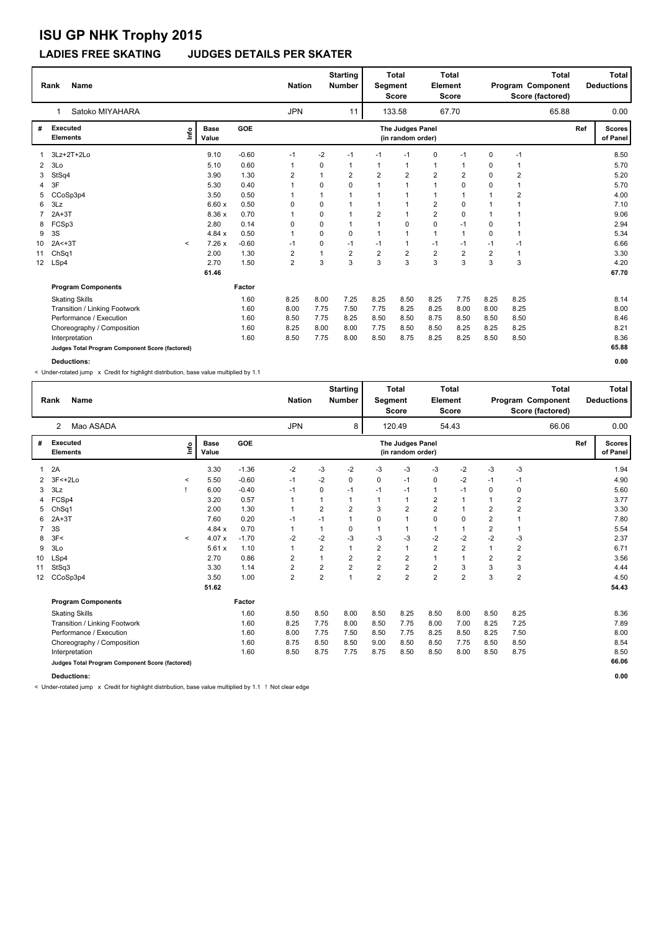### **LADIES FREE SKATING JUDGES DETAILS PER SKATER**

|                 | Name<br>Rank                                    |                      |         | <b>Nation</b>           |          | <b>Starting</b><br><b>Number</b> | Segment        | <b>Total</b><br><b>Score</b>          | Element        | Total<br><b>Score</b> |                |                | <b>Total</b><br>Program Component<br>Score (factored) |     | Total<br><b>Deductions</b> |
|-----------------|-------------------------------------------------|----------------------|---------|-------------------------|----------|----------------------------------|----------------|---------------------------------------|----------------|-----------------------|----------------|----------------|-------------------------------------------------------|-----|----------------------------|
|                 | Satoko MIYAHARA<br>1                            |                      |         | <b>JPN</b>              |          | 11                               |                | 133.58                                |                | 67.70                 |                |                | 65.88                                                 |     | 0.00                       |
| #               | <b>Executed</b><br>lnfo<br><b>Elements</b>      | <b>Base</b><br>Value | GOE     |                         |          |                                  |                | The Judges Panel<br>(in random order) |                |                       |                |                |                                                       | Ref | <b>Scores</b><br>of Panel  |
|                 | 3Lz+2T+2Lo                                      | 9.10                 | $-0.60$ | $-1$                    | $-2$     | $-1$                             | $-1$           | $-1$                                  | 0              | $-1$                  | 0              | $-1$           |                                                       |     | 8.50                       |
| $\overline{2}$  | 3Lo                                             | 5.10                 | 0.60    | 1                       | 0        | $\mathbf{1}$                     | 1              | $\mathbf{1}$                          | $\mathbf{1}$   | 1                     | 0              | 1              |                                                       |     | 5.70                       |
| 3               | StSq4                                           | 3.90                 | 1.30    | 2                       | 1        | $\overline{2}$                   | $\overline{2}$ | $\overline{2}$                        | $\overline{2}$ | 2                     | $\Omega$       | $\overline{2}$ |                                                       |     | 5.20                       |
| 4               | 3F                                              | 5.30                 | 0.40    |                         | 0        | $\Omega$                         | 1              | $\overline{1}$                        | $\mathbf{1}$   | 0                     | 0              | 1              |                                                       |     | 5.70                       |
| 5               | CCoSp3p4                                        | 3.50                 | 0.50    |                         | 1        | $\mathbf{1}$                     | $\mathbf 1$    | $\overline{1}$                        | 1              | 1                     |                | 2              |                                                       |     | 4.00                       |
| 6               | 3Lz                                             | 6.60x                | 0.50    | 0                       | 0        | $\mathbf 1$                      | 1              | $\overline{1}$                        | $\overline{2}$ | 0                     |                | 1              |                                                       |     | 7.10                       |
|                 | $2A+3T$                                         | 8.36 x               | 0.70    |                         | 0        | $\mathbf{1}$                     | $\overline{2}$ | $\overline{1}$                        | $\overline{2}$ | $\Omega$              | $\mathbf{1}$   | 1              |                                                       |     | 9.06                       |
| 8               | FCSp3                                           | 2.80                 | 0.14    | 0                       | 0        | $\mathbf{1}$                     | $\mathbf{1}$   | 0                                     | $\pmb{0}$      | $-1$                  | $\Omega$       | 1              |                                                       |     | 2.94                       |
| 9               | 3S                                              | 4.84x                | 0.50    | 1                       | $\Omega$ | $\Omega$                         | 1              | $\overline{1}$                        | $\mathbf{1}$   | $\mathbf{1}$          | 0              | 1              |                                                       |     | 5.34                       |
| 10              | $2A < +3T$<br>$\prec$                           | 7.26x                | $-0.60$ | $-1$                    | 0        | $-1$                             | $-1$           | $\overline{1}$                        | $-1$           | $-1$                  | -1             | $-1$           |                                                       |     | 6.66                       |
| 11              | ChSq1                                           | 2.00                 | 1.30    | 2                       | 1        | $\overline{2}$                   | $\overline{2}$ | $\overline{2}$                        | $\overline{2}$ | $\overline{2}$        | $\overline{2}$ | $\overline{1}$ |                                                       |     | 3.30                       |
| 12 <sup>2</sup> | LSp4                                            | 2.70                 | 1.50    | $\overline{\mathbf{c}}$ | 3        | 3                                | 3              | 3                                     | 3              | 3                     | 3              | 3              |                                                       |     | 4.20                       |
|                 |                                                 | 61.46                |         |                         |          |                                  |                |                                       |                |                       |                |                |                                                       |     | 67.70                      |
|                 | <b>Program Components</b>                       |                      | Factor  |                         |          |                                  |                |                                       |                |                       |                |                |                                                       |     |                            |
|                 | <b>Skating Skills</b>                           |                      | 1.60    | 8.25                    | 8.00     | 7.25                             | 8.25           | 8.50                                  | 8.25           | 7.75                  | 8.25           | 8.25           |                                                       |     | 8.14                       |
|                 | Transition / Linking Footwork                   |                      | 1.60    | 8.00                    | 7.75     | 7.50                             | 7.75           | 8.25                                  | 8.25           | 8.00                  | 8.00           | 8.25           |                                                       |     | 8.00                       |
|                 | Performance / Execution                         |                      | 1.60    | 8.50                    | 7.75     | 8.25                             | 8.50           | 8.50                                  | 8.75           | 8.50                  | 8.50           | 8.50           |                                                       |     | 8.46                       |
|                 | Choreography / Composition                      |                      | 1.60    | 8.25                    | 8.00     | 8.00                             | 7.75           | 8.50                                  | 8.50           | 8.25                  | 8.25           | 8.25           |                                                       |     | 8.21                       |
|                 | Interpretation                                  |                      | 1.60    | 8.50                    | 7.75     | 8.00                             | 8.50           | 8.75                                  | 8.25           | 8.25                  | 8.50           | 8.50           |                                                       |     | 8.36                       |
|                 | Judges Total Program Component Score (factored) |                      |         |                         |          |                                  |                |                                       |                |                       |                |                |                                                       |     | 65.88                      |
|                 | Deductions:                                     |                      |         |                         |          |                                  |                |                                       |                |                       |                |                |                                                       |     | 0.00                       |

< Under-rotated jump x Credit for highlight distribution, base value multiplied by 1.1

|                 | <b>Name</b><br>Rank                             |              |                      |            | <b>Nation</b>  |                | <b>Starting</b><br><b>Number</b> | Segment        | <b>Total</b><br><b>Score</b>          | Element        | <b>Total</b><br><b>Score</b> |                | <b>Total</b><br>Program Component<br>Score (factored) |     | Total<br><b>Deductions</b> |
|-----------------|-------------------------------------------------|--------------|----------------------|------------|----------------|----------------|----------------------------------|----------------|---------------------------------------|----------------|------------------------------|----------------|-------------------------------------------------------|-----|----------------------------|
|                 | Mao ASADA<br>2                                  |              |                      |            | <b>JPN</b>     |                | 8                                |                | 120.49                                |                | 54.43                        |                | 66.06                                                 |     | 0.00                       |
| #               | Executed<br><b>Elements</b>                     | Info         | <b>Base</b><br>Value | <b>GOE</b> |                |                |                                  |                | The Judges Panel<br>(in random order) |                |                              |                |                                                       | Ref | <b>Scores</b><br>of Panel  |
|                 | 2A                                              |              | 3.30                 | $-1.36$    | $-2$           | -3             | $-2$                             | -3             | -3                                    | -3             | $-2$                         | -3             | $-3$                                                  |     | 1.94                       |
|                 | 2 3F<+2Lo                                       | $\prec$      | 5.50                 | $-0.60$    | $-1$           | -2             | 0                                | 0              | $-1$                                  | 0              | $-2$                         | $-1$           | $-1$                                                  |     | 4.90                       |
| 3               | 3Lz                                             |              | 6.00                 | $-0.40$    | $-1$           | 0              | $-1$                             | $-1$           | $-1$                                  | $\mathbf{1}$   | $-1$                         | $\Omega$       | $\mathbf 0$                                           |     | 5.60                       |
| 4               | FCSp4                                           |              | 3.20                 | 0.57       | $\overline{1}$ |                | $\mathbf 1$                      |                | 1                                     | $\overline{2}$ | $\overline{1}$               | $\mathbf{1}$   | $\overline{2}$                                        |     | 3.77                       |
| 5               | Ch <sub>Sq1</sub>                               |              | 2.00                 | 1.30       | $\overline{1}$ | $\overline{2}$ | $\overline{2}$                   | 3              | $\overline{2}$                        | $\overline{2}$ | $\overline{1}$               | $\overline{2}$ | $\overline{2}$                                        |     | 3.30                       |
| 6               | $2A+3T$                                         |              | 7.60                 | 0.20       | $-1$           | $-1$           | 1                                | 0              | $\mathbf{1}$                          | $\mathbf 0$    | $\mathbf 0$                  | $\overline{2}$ |                                                       |     | 7.80                       |
|                 | 3S                                              |              | 4.84x                | 0.70       | 1              |                | 0                                |                | 1                                     | $\mathbf{1}$   |                              | $\overline{2}$ | $\overline{1}$                                        |     | 5.54                       |
| 8               | 3F<                                             | $\checkmark$ | 4.07x                | $-1.70$    | $-2$           | $-2$           | $-3$                             | $-3$           | $-3$                                  | $-2$           | $-2$                         | $-2$           | -3                                                    |     | 2.37                       |
| 9               | 3Lo                                             |              | 5.61x                | 1.10       | $\mathbf{1}$   | $\overline{2}$ | 1                                | $\overline{2}$ | $\mathbf{1}$                          | $\overline{2}$ | $\overline{2}$               | 1              | $\overline{2}$                                        |     | 6.71                       |
| 10              | LSp4                                            |              | 2.70                 | 0.86       | $\overline{2}$ |                | $\overline{2}$                   | $\overline{2}$ | $\overline{2}$                        | $\mathbf{1}$   | $\overline{1}$               | $\overline{2}$ | $\overline{2}$                                        |     | 3.56                       |
| 11              | StSq3                                           |              | 3.30                 | 1.14       | $\overline{2}$ | $\overline{2}$ | $\overline{2}$                   | $\overline{2}$ | $\overline{2}$                        | $\overline{2}$ | 3                            | 3              | 3                                                     |     | 4.44                       |
| 12 <sup>°</sup> | CCoSp3p4                                        |              | 3.50                 | 1.00       | $\overline{2}$ | $\overline{2}$ | 1                                | $\overline{2}$ | $\overline{2}$                        | $\overline{2}$ | $\overline{2}$               | 3              | $\overline{2}$                                        |     | 4.50                       |
|                 |                                                 |              | 51.62                |            |                |                |                                  |                |                                       |                |                              |                |                                                       |     | 54.43                      |
|                 | <b>Program Components</b>                       |              |                      | Factor     |                |                |                                  |                |                                       |                |                              |                |                                                       |     |                            |
|                 | <b>Skating Skills</b>                           |              |                      | 1.60       | 8.50           | 8.50           | 8.00                             | 8.50           | 8.25                                  | 8.50           | 8.00                         | 8.50           | 8.25                                                  |     | 8.36                       |
|                 | Transition / Linking Footwork                   |              |                      | 1.60       | 8.25           | 7.75           | 8.00                             | 8.50           | 7.75                                  | 8.00           | 7.00                         | 8.25           | 7.25                                                  |     | 7.89                       |
|                 | Performance / Execution                         |              |                      | 1.60       | 8.00           | 7.75           | 7.50                             | 8.50           | 7.75                                  | 8.25           | 8.50                         | 8.25           | 7.50                                                  |     | 8.00                       |
|                 | Choreography / Composition                      |              |                      | 1.60       | 8.75           | 8.50           | 8.50                             | 9.00           | 8.50                                  | 8.50           | 7.75                         | 8.50           | 8.50                                                  |     | 8.54                       |
|                 | Interpretation                                  |              |                      | 1.60       | 8.50           | 8.75           | 7.75                             | 8.75           | 8.50                                  | 8.50           | 8.00                         | 8.50           | 8.75                                                  |     | 8.50                       |
|                 | Judges Total Program Component Score (factored) |              |                      |            |                |                |                                  |                |                                       |                |                              |                |                                                       |     | 66.06                      |

**Deductions: 0.00**

< Under-rotated jump x Credit for highlight distribution, base value multiplied by 1.1 ! Not clear edge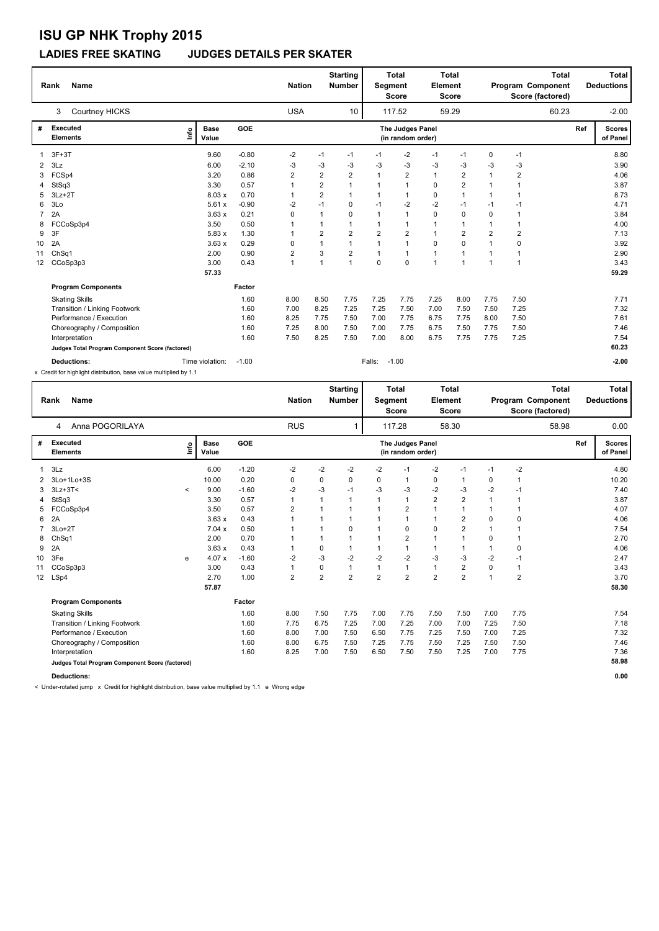### **LADIES FREE SKATING JUDGES DETAILS PER SKATER**

|                | <b>Name</b><br>Rank                             |                              |         | <b>Nation</b> |                         | <b>Starting</b><br><b>Number</b> | Segment        | <b>Total</b><br><b>Score</b>          | <b>Element</b> | <b>Total</b><br><b>Score</b> |                |                | <b>Total</b><br>Program Component<br>Score (factored) |     | Total<br><b>Deductions</b> |
|----------------|-------------------------------------------------|------------------------------|---------|---------------|-------------------------|----------------------------------|----------------|---------------------------------------|----------------|------------------------------|----------------|----------------|-------------------------------------------------------|-----|----------------------------|
|                | Courtney HICKS<br>3                             |                              |         | <b>USA</b>    |                         | 10                               |                | 117.52                                |                | 59.29                        |                |                | 60.23                                                 |     | $-2.00$                    |
| #              | <b>Executed</b><br><b>Elements</b>              | <b>Base</b><br>١nf٥<br>Value | GOE     |               |                         |                                  |                | The Judges Panel<br>(in random order) |                |                              |                |                |                                                       | Ref | <b>Scores</b><br>of Panel  |
|                | $3F+3T$                                         | 9.60                         | $-0.80$ | $-2$          | $-1$                    | $-1$                             | $-1$           | -2                                    | $-1$           | $-1$                         | 0              | $-1$           |                                                       |     | 8.80                       |
| $\overline{2}$ | 3Lz                                             | 6.00                         | $-2.10$ | -3            | -3                      | -3                               | -3             | $-3$                                  | $-3$           | -3                           | -3             | $-3$           |                                                       |     | 3.90                       |
| 3              | FCSp4                                           | 3.20                         | 0.86    | 2             | $\overline{2}$          | $\overline{2}$                   | $\mathbf 1$    | $\overline{2}$                        | $\mathbf{1}$   | $\overline{2}$               |                | $\overline{2}$ |                                                       |     | 4.06                       |
| 4              | StSq3                                           | 3.30                         | 0.57    |               | $\overline{2}$          | 1                                |                | $\overline{1}$                        | $\mathbf 0$    | $\overline{2}$               |                | 1              |                                                       |     | 3.87                       |
| 5              | $3Lz + 2T$                                      | 8.03 x                       | 0.70    |               | $\overline{\mathbf{c}}$ | $\mathbf 1$                      | $\mathbf 1$    | $\overline{1}$                        | 0              | 1                            |                |                |                                                       |     | 8.73                       |
| 6              | 3Lo                                             | 5.61x                        | $-0.90$ | -2            | $-1$                    | 0                                | $-1$           | $-2$                                  | $-2$           | $-1$                         | $-1$           | $-1$           |                                                       |     | 4.71                       |
| $\overline{7}$ | 2A                                              | 3.63x                        | 0.21    | 0             | 1                       | 0                                |                | $\overline{1}$                        | $\mathbf 0$    | 0                            | 0              | 1              |                                                       |     | 3.84                       |
| 8              | FCCoSp3p4                                       | 3.50                         | 0.50    |               | 1                       | $\mathbf 1$                      |                | $\mathbf 1$                           | 1              | 1                            |                |                |                                                       |     | 4.00                       |
| 9              | 3F                                              | 5.83x                        | 1.30    |               | $\overline{\mathbf{c}}$ | $\overline{2}$                   | $\overline{2}$ | $\overline{2}$                        | 1              | $\overline{2}$               | $\overline{2}$ | $\overline{2}$ |                                                       |     | 7.13                       |
| 10             | 2A                                              | 3.63x                        | 0.29    | 0             | 1                       | $\overline{1}$                   | $\mathbf 1$    | $\overline{1}$                        | $\mathbf 0$    | $\Omega$                     |                | 0              |                                                       |     | 3.92                       |
| 11             | ChSq1                                           | 2.00                         | 0.90    | 2             | 3                       | $\overline{2}$                   | 1              | $\mathbf{1}$                          | $\mathbf{1}$   | 1                            |                | 1              |                                                       |     | 2.90                       |
| 12             | CCoSp3p3                                        | 3.00                         | 0.43    | 1             | 1                       | $\mathbf{1}$                     | 0              | 0                                     | $\overline{1}$ | $\mathbf{1}$                 | $\overline{1}$ | 1              |                                                       |     | 3.43                       |
|                |                                                 | 57.33                        |         |               |                         |                                  |                |                                       |                |                              |                |                |                                                       |     | 59.29                      |
|                | <b>Program Components</b>                       |                              | Factor  |               |                         |                                  |                |                                       |                |                              |                |                |                                                       |     |                            |
|                | <b>Skating Skills</b>                           |                              | 1.60    | 8.00          | 8.50                    | 7.75                             | 7.25           | 7.75                                  | 7.25           | 8.00                         | 7.75           | 7.50           |                                                       |     | 7.71                       |
|                | Transition / Linking Footwork                   |                              | 1.60    | 7.00          | 8.25                    | 7.25                             | 7.25           | 7.50                                  | 7.00           | 7.50                         | 7.50           | 7.25           |                                                       |     | 7.32                       |
|                | Performance / Execution                         |                              | 1.60    | 8.25          | 7.75                    | 7.50                             | 7.00           | 7.75                                  | 6.75           | 7.75                         | 8.00           | 7.50           |                                                       |     | 7.61                       |
|                | Choreography / Composition                      |                              | 1.60    | 7.25          | 8.00                    | 7.50                             | 7.00           | 7.75                                  | 6.75           | 7.50                         | 7.75           | 7.50           |                                                       |     | 7.46                       |
|                | Interpretation                                  |                              | 1.60    | 7.50          | 8.25                    | 7.50                             | 7.00           | 8.00                                  | 6.75           | 7.75                         | 7.75           | 7.25           |                                                       |     | 7.54                       |
|                | Judges Total Program Component Score (factored) |                              |         |               |                         |                                  |                |                                       |                |                              |                |                |                                                       |     | 60.23                      |
|                | Deductions:                                     | Time violation:              | $-1.00$ |               |                         |                                  | Falls:         | $-1.00$                               |                |                              |                |                |                                                       |     | $-2.00$                    |

x Credit for highlight distribution, base value multiplied by 1.1

|    | <b>Name</b><br>Rank                             |              |                      |            | <b>Nation</b>           |                | <b>Starting</b><br><b>Number</b> | <b>Segment</b> | <b>Total</b><br><b>Score</b>          | Element        | Total<br><b>Score</b>   |                | Total<br>Program Component<br>Score (factored) |     | <b>Total</b><br><b>Deductions</b> |
|----|-------------------------------------------------|--------------|----------------------|------------|-------------------------|----------------|----------------------------------|----------------|---------------------------------------|----------------|-------------------------|----------------|------------------------------------------------|-----|-----------------------------------|
|    | Anna POGORILAYA<br>4                            |              |                      |            | <b>RUS</b>              |                |                                  |                | 117.28                                |                | 58.30                   |                | 58.98                                          |     | 0.00                              |
| #  | <b>Executed</b><br>Elements                     | ١nf٥         | <b>Base</b><br>Value | <b>GOE</b> |                         |                |                                  |                | The Judges Panel<br>(in random order) |                |                         |                |                                                | Ref | <b>Scores</b><br>of Panel         |
|    | 3Lz                                             |              | 6.00                 | $-1.20$    | $-2$                    | $-2$           | -2                               | -2             | $-1$                                  | $-2$           | $-1$                    | $-1$           | $-2$                                           |     | 4.80                              |
| 2  | 3Lo+1Lo+3S                                      |              | 10.00                | 0.20       | 0                       | 0              | 0                                | 0              | 1                                     | $\pmb{0}$      | 1                       | 0              | 1                                              |     | 10.20                             |
| 3  | $3Lz + 3T <$                                    | $\checkmark$ | 9.00                 | $-1.60$    | $-2$                    | $-3$           | $-1$                             | $-3$           | $-3$                                  | $-2$           | $-3$                    | $-2$           | $-1$                                           |     | 7.40                              |
| 4  | StSq3                                           |              | 3.30                 | 0.57       | 1                       | 1              | 1                                | 1              | $\mathbf{1}$                          | $\overline{2}$ | $\overline{\mathbf{c}}$ |                | 1                                              |     | 3.87                              |
| 5  | FCCoSp3p4                                       |              | 3.50                 | 0.57       | 2                       | $\mathbf{1}$   | 1                                | $\mathbf 1$    | $\overline{2}$                        | $\mathbf{1}$   | $\overline{1}$          |                | 1                                              |     | 4.07                              |
| 6  | 2A                                              |              | 3.63x                | 0.43       | 1                       | $\mathbf 1$    | 1                                | $\mathbf 1$    | $\mathbf{1}$                          | $\mathbf{1}$   | $\overline{2}$          | $\mathbf 0$    | 0                                              |     | 4.06                              |
| 7  | $3Lo+2T$                                        |              | 7.04x                | 0.50       |                         | 1              | 0                                | $\mathbf{1}$   | $\mathbf 0$                           | $\mathbf 0$    | $\overline{2}$          | $\mathbf{1}$   | 1                                              |     | 7.54                              |
| 8  | ChSq1                                           |              | 2.00                 | 0.70       |                         | 1              | 1                                | 1              | $\overline{2}$                        | $\mathbf{1}$   | 1                       | 0              | 1                                              |     | 2.70                              |
| 9  | 2A                                              |              | 3.63x                | 0.43       | 1                       | 0              | 1                                | 1              | $\mathbf{1}$                          | $\mathbf{1}$   | 1                       |                | 0                                              |     | 4.06                              |
| 10 | 3Fe                                             | e            | 4.07x                | $-1.60$    | $-2$                    | $-3$           | $-2$                             | $-2$           | $-2$                                  | $-3$           | $-3$                    | $-2$           | $-1$                                           |     | 2.47                              |
| 11 | CCoSp3p3                                        |              | 3.00                 | 0.43       | $\mathbf{1}$            | 0              | 1                                | 1              | $\mathbf{1}$                          | $\mathbf{1}$   | $\overline{\mathbf{c}}$ | $\mathbf 0$    | $\overline{1}$                                 |     | 3.43                              |
| 12 | LSp4                                            |              | 2.70                 | 1.00       | $\overline{\mathbf{c}}$ | $\overline{2}$ | $\overline{2}$                   | $\overline{2}$ | $\overline{2}$                        | $\overline{2}$ | $\overline{2}$          | $\overline{1}$ | $\overline{2}$                                 |     | 3.70                              |
|    |                                                 |              | 57.87                |            |                         |                |                                  |                |                                       |                |                         |                |                                                |     | 58.30                             |
|    | <b>Program Components</b>                       |              |                      | Factor     |                         |                |                                  |                |                                       |                |                         |                |                                                |     |                                   |
|    | <b>Skating Skills</b>                           |              |                      | 1.60       | 8.00                    | 7.50           | 7.75                             | 7.00           | 7.75                                  | 7.50           | 7.50                    | 7.00           | 7.75                                           |     | 7.54                              |
|    | Transition / Linking Footwork                   |              |                      | 1.60       | 7.75                    | 6.75           | 7.25                             | 7.00           | 7.25                                  | 7.00           | 7.00                    | 7.25           | 7.50                                           |     | 7.18                              |
|    | Performance / Execution                         |              |                      | 1.60       | 8.00                    | 7.00           | 7.50                             | 6.50           | 7.75                                  | 7.25           | 7.50                    | 7.00           | 7.25                                           |     | 7.32                              |
|    | Choreography / Composition                      |              |                      | 1.60       | 8.00                    | 6.75           | 7.50                             | 7.25           | 7.75                                  | 7.50           | 7.25                    | 7.50           | 7.50                                           |     | 7.46                              |
|    | Interpretation                                  |              |                      | 1.60       | 8.25                    | 7.00           | 7.50                             | 6.50           | 7.50                                  | 7.50           | 7.25                    | 7.00           | 7.75                                           |     | 7.36                              |
|    | Judges Total Program Component Score (factored) |              |                      |            |                         |                |                                  |                |                                       |                |                         |                |                                                |     | 58.98                             |
|    | <b>Deductions:</b>                              |              |                      |            |                         |                |                                  |                |                                       |                |                         |                |                                                |     | 0.00                              |

< Under-rotated jump x Credit for highlight distribution, base value multiplied by 1.1 e Wrong edge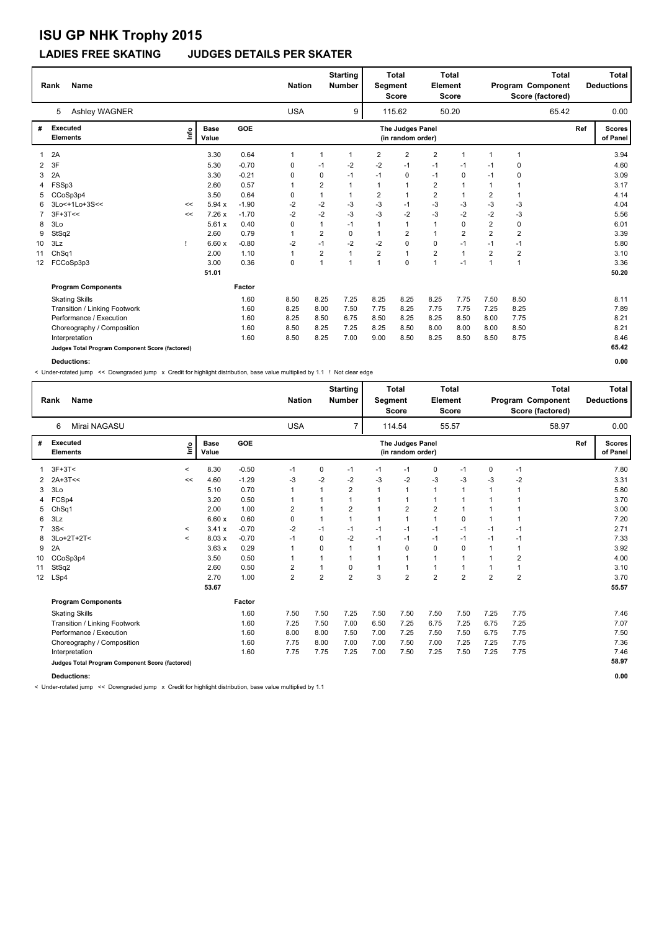#### **LADIES FREE SKATING JUDGES DETAILS PER SKATER**

|    | <b>Name</b><br>Rank                             |      |                      |            | <b>Nation</b> |                | <b>Starting</b><br><b>Number</b> | Segment        | <b>Total</b><br><b>Score</b>          | Element        | <b>Total</b><br><b>Score</b> |                |                | <b>Total</b><br>Program Component<br>Score (factored) |     | Total<br><b>Deductions</b> |
|----|-------------------------------------------------|------|----------------------|------------|---------------|----------------|----------------------------------|----------------|---------------------------------------|----------------|------------------------------|----------------|----------------|-------------------------------------------------------|-----|----------------------------|
|    | Ashley WAGNER<br>5                              |      |                      |            | <b>USA</b>    |                | 9                                |                | 115.62                                |                | 50.20                        |                |                | 65.42                                                 |     | 0.00                       |
| #  | <b>Executed</b><br><b>Elements</b>              | ١nf٥ | <b>Base</b><br>Value | <b>GOE</b> |               |                |                                  |                | The Judges Panel<br>(in random order) |                |                              |                |                |                                                       | Ref | <b>Scores</b><br>of Panel  |
|    | 2A                                              |      | 3.30                 | 0.64       | $\mathbf 1$   | 1              | -1                               | $\overline{2}$ | $\overline{2}$                        | $\overline{2}$ | 1                            |                | 1              |                                                       |     | 3.94                       |
| 2  | 3F                                              |      | 5.30                 | $-0.70$    | 0             | $-1$           | $-2$                             | $-2$           | $-1$                                  | $-1$           | $-1$                         | -1             | $\mathbf 0$    |                                                       |     | 4.60                       |
| 3  | 2A                                              |      | 3.30                 | $-0.21$    | 0             | 0              | $-1$                             | $-1$           | 0                                     | $-1$           | 0                            | $-1$           | 0              |                                                       |     | 3.09                       |
| 4  | FSSp3                                           |      | 2.60                 | 0.57       | 1             | $\overline{2}$ | $\mathbf{1}$                     |                | $\overline{1}$                        | $\overline{2}$ | $\overline{1}$               | $\mathbf 1$    | 1              |                                                       |     | 3.17                       |
| 5  | CCoSp3p4                                        |      | 3.50                 | 0.64       | 0             | $\mathbf{1}$   | $\mathbf 1$                      | $\overline{2}$ | $\overline{1}$                        | $\overline{2}$ | 1                            | $\overline{2}$ | 1              |                                                       |     | 4.14                       |
| 6  | 3Lo<+1Lo+3S<<                                   | <<   | 5.94x                | $-1.90$    | $-2$          | $-2$           | $-3$                             | $-3$           | -1                                    | $-3$           | $-3$                         | $-3$           | $-3$           |                                                       |     | 4.04                       |
| 7  | $3F+3T<<$                                       | <<   | 7.26x                | $-1.70$    | $-2$          | $-2$           | $-3$                             | $-3$           | $-2$                                  | $-3$           | $-2$                         | $-2$           | $-3$           |                                                       |     | 5.56                       |
| 8  | 3Lo                                             |      | 5.61x                | 0.40       | 0             | $\mathbf{1}$   | $-1$                             |                | $\overline{1}$                        | $\mathbf{1}$   | 0                            | $\overline{2}$ | 0              |                                                       |     | 6.01                       |
| 9  | StSq2                                           |      | 2.60                 | 0.79       | $\mathbf{1}$  | $\overline{2}$ | $\mathbf 0$                      |                | $\overline{2}$                        | $\mathbf{1}$   | $\overline{2}$               | $\overline{2}$ | $\overline{2}$ |                                                       |     | 3.39                       |
| 10 | 3Lz                                             |      | 6.60x                | $-0.80$    | $-2$          | $-1$           | $-2$                             | $-2$           | 0                                     | 0              | $-1$                         | $-1$           | $-1$           |                                                       |     | 5.80                       |
| 11 | Ch <sub>Sq1</sub>                               |      | 2.00                 | 1.10       | $\mathbf{1}$  | $\overline{2}$ | $\mathbf{1}$                     | $\overline{2}$ | $\overline{1}$                        | $\overline{2}$ | $\overline{1}$               | $\overline{2}$ | $\overline{2}$ |                                                       |     | 3.10                       |
| 12 | FCCoSp3p3                                       |      | 3.00                 | 0.36       | 0             | $\mathbf{1}$   | $\overline{1}$                   |                | $\mathbf 0$                           | $\overline{1}$ | $-1$                         | $\overline{1}$ | $\overline{1}$ |                                                       |     | 3.36                       |
|    |                                                 |      | 51.01                |            |               |                |                                  |                |                                       |                |                              |                |                |                                                       |     | 50.20                      |
|    | <b>Program Components</b>                       |      |                      | Factor     |               |                |                                  |                |                                       |                |                              |                |                |                                                       |     |                            |
|    | <b>Skating Skills</b>                           |      |                      | 1.60       | 8.50          | 8.25           | 7.25                             | 8.25           | 8.25                                  | 8.25           | 7.75                         | 7.50           | 8.50           |                                                       |     | 8.11                       |
|    | Transition / Linking Footwork                   |      |                      | 1.60       | 8.25          | 8.00           | 7.50                             | 7.75           | 8.25                                  | 7.75           | 7.75                         | 7.25           | 8.25           |                                                       |     | 7.89                       |
|    | Performance / Execution                         |      |                      | 1.60       | 8.25          | 8.50           | 6.75                             | 8.50           | 8.25                                  | 8.25           | 8.50                         | 8.00           | 7.75           |                                                       |     | 8.21                       |
|    | Choreography / Composition                      |      |                      | 1.60       | 8.50          | 8.25           | 7.25                             | 8.25           | 8.50                                  | 8.00           | 8.00                         | 8.00           | 8.50           |                                                       |     | 8.21                       |
|    | Interpretation                                  |      |                      | 1.60       | 8.50          | 8.25           | 7.00                             | 9.00           | 8.50                                  | 8.25           | 8.50                         | 8.50           | 8.75           |                                                       |     | 8.46                       |
|    | Judges Total Program Component Score (factored) |      |                      |            |               |                |                                  |                |                                       |                |                              |                |                |                                                       |     | 65.42                      |
|    | Deductions:                                     |      |                      |            |               |                |                                  |                |                                       |                |                              |                |                |                                                       |     | 0.00                       |

< Under-rotated jump << Downgraded jump x Credit for highlight distribution, base value multiplied by 1.1 ! Not clear edge

|                  | <b>Name</b><br>Rank                             |              |                      |            | <b>Nation</b>  |              | <b>Starting</b><br><b>Number</b> | Segment | <b>Total</b><br><b>Score</b>          | Element        | <b>Total</b><br><b>Score</b> |                |                | <b>Total</b><br>Program Component<br>Score (factored) |     | Total<br><b>Deductions</b> |
|------------------|-------------------------------------------------|--------------|----------------------|------------|----------------|--------------|----------------------------------|---------|---------------------------------------|----------------|------------------------------|----------------|----------------|-------------------------------------------------------|-----|----------------------------|
|                  | Mirai NAGASU<br>6                               |              |                      |            | <b>USA</b>     |              | $\overline{7}$                   |         | 114.54                                |                | 55.57                        |                |                | 58.97                                                 |     | 0.00                       |
| #                | <b>Executed</b><br><b>Elements</b>              | lnfo         | <b>Base</b><br>Value | <b>GOE</b> |                |              |                                  |         | The Judges Panel<br>(in random order) |                |                              |                |                |                                                       | Ref | <b>Scores</b><br>of Panel  |
|                  | $3F+3T<$                                        | $\prec$      | 8.30                 | $-0.50$    | $-1$           | 0            | $-1$                             | $-1$    | $-1$                                  | 0              | $-1$                         | 0              | $-1$           |                                                       |     | 7.80                       |
| 2                | 2A+3T<<                                         | <<           | 4.60                 | $-1.29$    | -3             | $-2$         | $-2$                             | $-3$    | $-2$                                  | $-3$           | -3                           | -3             | $-2$           |                                                       |     | 3.31                       |
| 3                | 3 <sub>LO</sub>                                 |              | 5.10                 | 0.70       | $\mathbf{1}$   | $\mathbf{1}$ | $\overline{2}$                   | 1       | $\mathbf{1}$                          | $\mathbf{1}$   | $\overline{1}$               | $\mathbf{1}$   | $\overline{1}$ |                                                       |     | 5.80                       |
| 4                | FCSp4                                           |              | 3.20                 | 0.50       | $\mathbf 1$    |              | $\mathbf 1$                      |         | 1                                     | $\mathbf{1}$   |                              | $\mathbf 1$    |                |                                                       |     | 3.70                       |
| 5                | Ch <sub>Sq1</sub>                               |              | 2.00                 | 1.00       | $\overline{2}$ |              | $\overline{\mathbf{c}}$          |         | $\overline{2}$                        | $\overline{2}$ |                              |                |                |                                                       |     | 3.00                       |
| 6                | 3Lz                                             |              | 6.60x                | 0.60       | 0              |              | $\mathbf{1}$                     |         | 1                                     | $\mathbf{1}$   | 0                            | $\mathbf{1}$   |                |                                                       |     | 7.20                       |
| 7                | 3S<                                             | $\,<\,$      | 3.41x                | $-0.70$    | $-2$           | $-1$         | $-1$                             | $-1$    | $-1$                                  | $-1$           | $-1$                         | $-1$           | $-1$           |                                                       |     | 2.71                       |
| 8                | 3Lo+2T+2T<                                      | $\checkmark$ | 8.03x                | $-0.70$    | $-1$           | $\Omega$     | $-2$                             | $-1$    | $-1$                                  | $-1$           | $-1$                         | $-1$           | $-1$           |                                                       |     | 7.33                       |
| 9                | 2A                                              |              | 3.63x                | 0.29       | $\mathbf 1$    | 0            | 1                                | 1       | 0                                     | $\mathbf 0$    | 0                            | 1              | 1              |                                                       |     | 3.92                       |
| 10               | CCoSp3p4                                        |              | 3.50                 | 0.50       | $\overline{1}$ |              | 1                                |         | 1                                     | $\mathbf{1}$   |                              | $\mathbf{1}$   | $\overline{2}$ |                                                       |     | 4.00                       |
| 11               | StSq2                                           |              | 2.60                 | 0.50       | $\overline{2}$ |              | 0                                |         | 1                                     | $\mathbf{1}$   |                              |                |                |                                                       |     | 3.10                       |
| 12 <sup>12</sup> | LSp4                                            |              | 2.70                 | 1.00       | $\overline{2}$ | 2            | $\overline{2}$                   | 3       | $\overline{2}$                        | $\overline{2}$ | $\overline{2}$               | $\overline{2}$ | $\overline{2}$ |                                                       |     | 3.70                       |
|                  |                                                 |              | 53.67                |            |                |              |                                  |         |                                       |                |                              |                |                |                                                       |     | 55.57                      |
|                  | <b>Program Components</b>                       |              |                      | Factor     |                |              |                                  |         |                                       |                |                              |                |                |                                                       |     |                            |
|                  | <b>Skating Skills</b>                           |              |                      | 1.60       | 7.50           | 7.50         | 7.25                             | 7.50    | 7.50                                  | 7.50           | 7.50                         | 7.25           | 7.75           |                                                       |     | 7.46                       |
|                  | Transition / Linking Footwork                   |              |                      | 1.60       | 7.25           | 7.50         | 7.00                             | 6.50    | 7.25                                  | 6.75           | 7.25                         | 6.75           | 7.25           |                                                       |     | 7.07                       |
|                  | Performance / Execution                         |              |                      | 1.60       | 8.00           | 8.00         | 7.50                             | 7.00    | 7.25                                  | 7.50           | 7.50                         | 6.75           | 7.75           |                                                       |     | 7.50                       |
|                  | Choreography / Composition                      |              |                      | 1.60       | 7.75           | 8.00         | 7.00                             | 7.00    | 7.50                                  | 7.00           | 7.25                         | 7.25           | 7.75           |                                                       |     | 7.36                       |
|                  | Interpretation                                  |              |                      | 1.60       | 7.75           | 7.75         | 7.25                             | 7.00    | 7.50                                  | 7.25           | 7.50                         | 7.25           | 7.75           |                                                       |     | 7.46                       |
|                  | Judges Total Program Component Score (factored) |              |                      |            |                |              |                                  |         |                                       |                |                              |                |                |                                                       |     | 58.97                      |

**Deductions: 0.00**

< Under-rotated jump << Downgraded jump x Credit for highlight distribution, base value multiplied by 1.1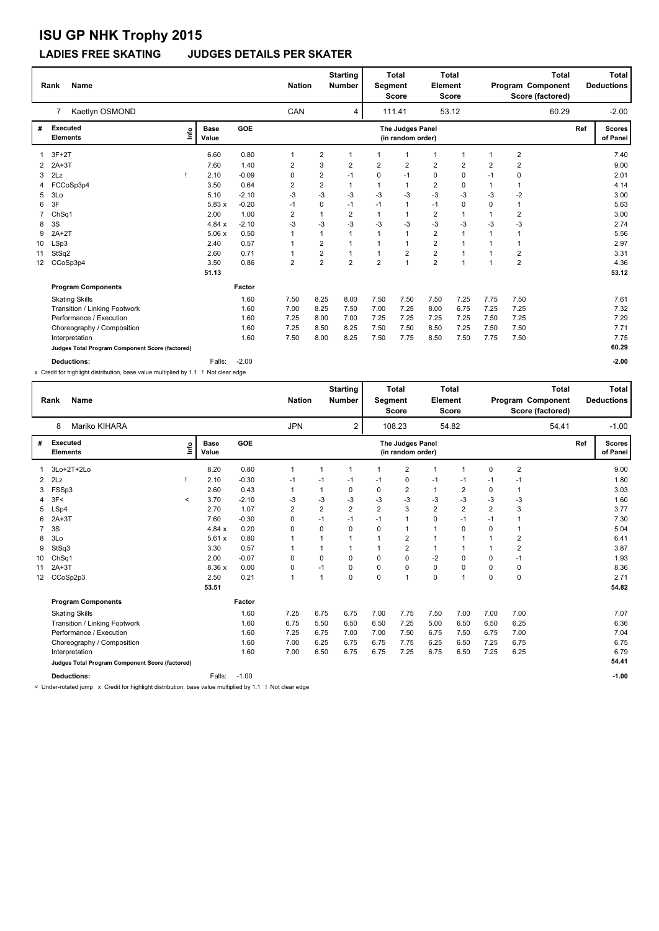### **LADIES FREE SKATING JUDGES DETAILS PER SKATER**

|                 | <b>Name</b><br>Rank                             |                      |         | <b>Nation</b>           |                         | <b>Starting</b><br><b>Number</b> | <b>Segment</b> | <b>Total</b><br><b>Score</b>          | Element                 | <b>Total</b><br><b>Score</b> |                | Program Component       | <b>Total</b><br>Score (factored) |     | Total<br><b>Deductions</b> |
|-----------------|-------------------------------------------------|----------------------|---------|-------------------------|-------------------------|----------------------------------|----------------|---------------------------------------|-------------------------|------------------------------|----------------|-------------------------|----------------------------------|-----|----------------------------|
|                 | Kaetlyn OSMOND<br>$\overline{7}$                |                      |         | CAN                     |                         | 4                                |                | 111.41                                |                         | 53.12                        |                |                         | 60.29                            |     | $-2.00$                    |
| #               | <b>Executed</b><br>١nf٥<br><b>Elements</b>      | <b>Base</b><br>Value | GOE     |                         |                         |                                  |                | The Judges Panel<br>(in random order) |                         |                              |                |                         |                                  | Ref | <b>Scores</b><br>of Panel  |
|                 | $3F+2T$                                         | 6.60                 | 0.80    | $\mathbf 1$             | 2                       | $\mathbf{1}$                     | 1              | $\overline{1}$                        | 1                       | $\overline{1}$               | $\overline{1}$ | $\overline{2}$          |                                  |     | 7.40                       |
| 2               | $2A+3T$                                         | 7.60                 | 1.40    | 2                       | 3                       | $\overline{2}$                   | $\overline{2}$ | $\overline{2}$                        | $\overline{2}$          | $\overline{2}$               | $\overline{2}$ | $\overline{2}$          |                                  |     | 9.00                       |
| 3               | 2Lz                                             | 2.10                 | $-0.09$ | 0                       | $\overline{2}$          | $-1$                             | $\Omega$       | $-1$                                  | 0                       | 0                            | $-1$           | 0                       |                                  |     | 2.01                       |
| 4               | FCCoSp3p4                                       | 3.50                 | 0.64    | 2                       | $\overline{\mathbf{c}}$ | $\mathbf{1}$                     | 1              | $\mathbf{1}$                          | $\overline{2}$          | 0                            | $\mathbf{1}$   | $\overline{1}$          |                                  |     | 4.14                       |
| 5               | 3Lo                                             | 5.10                 | $-2.10$ | $-3$                    | $-3$                    | -3                               | $-3$           | -3                                    | $-3$                    | $-3$                         | -3             | $-2$                    |                                  |     | 3.00                       |
| 6               | 3F                                              | 5.83x                | $-0.20$ | $-1$                    | 0                       | $-1$                             | $-1$           | $\mathbf{1}$                          | $-1$                    | $\mathbf 0$                  | $\Omega$       | 1                       |                                  |     | 5.63                       |
|                 | ChSq1                                           | 2.00                 | 1.00    | $\overline{\mathbf{c}}$ | 1                       | $\overline{2}$                   | 1              | $\mathbf{1}$                          | $\overline{2}$          | $\overline{1}$               | $\mathbf 1$    | $\overline{2}$          |                                  |     | 3.00                       |
| 8               | 3S                                              | 4.84x                | $-2.10$ | -3                      | $-3$                    | -3                               | -3             | -3                                    | $-3$                    | $-3$                         | -3             | $-3$                    |                                  |     | 2.74                       |
| 9               | $2A+2T$                                         | 5.06x                | 0.50    |                         | 1                       | $\mathbf{1}$                     | $\mathbf{1}$   | $\mathbf{1}$                          | $\overline{2}$          | $\overline{1}$               | $\overline{1}$ | 1                       |                                  |     | 5.56                       |
| 10              | LSp3                                            | 2.40                 | 0.57    |                         | $\overline{\mathbf{c}}$ | $\mathbf{1}$                     | $\mathbf 1$    | $\overline{1}$                        | $\overline{2}$          | $\mathbf{1}$                 |                | 1                       |                                  |     | 2.97                       |
| 11              | StSq2                                           | 2.60                 | 0.71    |                         | 2                       | $\mathbf{1}$                     |                | $\overline{2}$                        | $\overline{\mathbf{c}}$ | 1                            |                | $\overline{\mathbf{c}}$ |                                  |     | 3.31                       |
| 12 <sup>2</sup> | CCoSp3p4                                        | 3.50                 | 0.86    | 2                       | $\overline{2}$          | $\overline{2}$                   | $\overline{2}$ | $\overline{1}$                        | $\overline{2}$          | $\mathbf{1}$                 | -1             | $\overline{2}$          |                                  |     | 4.36                       |
|                 |                                                 | 51.13                |         |                         |                         |                                  |                |                                       |                         |                              |                |                         |                                  |     | 53.12                      |
|                 | <b>Program Components</b>                       |                      | Factor  |                         |                         |                                  |                |                                       |                         |                              |                |                         |                                  |     |                            |
|                 | <b>Skating Skills</b>                           |                      | 1.60    | 7.50                    | 8.25                    | 8.00                             | 7.50           | 7.50                                  | 7.50                    | 7.25                         | 7.75           | 7.50                    |                                  |     | 7.61                       |
|                 | Transition / Linking Footwork                   |                      | 1.60    | 7.00                    | 8.25                    | 7.50                             | 7.00           | 7.25                                  | 8.00                    | 6.75                         | 7.25           | 7.25                    |                                  |     | 7.32                       |
|                 | Performance / Execution                         |                      | 1.60    | 7.25                    | 8.00                    | 7.00                             | 7.25           | 7.25                                  | 7.25                    | 7.25                         | 7.50           | 7.25                    |                                  |     | 7.29                       |
|                 | Choreography / Composition                      |                      | 1.60    | 7.25                    | 8.50                    | 8.25                             | 7.50           | 7.50                                  | 8.50                    | 7.25                         | 7.50           | 7.50                    |                                  |     | 7.71                       |
|                 | Interpretation                                  |                      | 1.60    | 7.50                    | 8.00                    | 8.25                             | 7.50           | 7.75                                  | 8.50                    | 7.50                         | 7.75           | 7.50                    |                                  |     | 7.75                       |
|                 | Judges Total Program Component Score (factored) |                      |         |                         |                         |                                  |                |                                       |                         |                              |                |                         |                                  |     | 60.29                      |
|                 | <b>Deductions:</b>                              | Falls:               | $-2.00$ |                         |                         |                                  |                |                                       |                         |                              |                |                         |                                  |     | $-2.00$                    |

x Credit for highlight distribution, base value multiplied by 1.1 ! Not clear edge

|    | <b>Name</b><br>Rank                             |      |                      |         | <b>Nation</b>  |                | <b>Starting</b><br>Number | Segment        | <b>Total</b><br><b>Score</b>          | Element        | <b>Total</b><br><b>Score</b> |                | <b>Total</b><br>Program Component<br>Score (factored) |     | Total<br><b>Deductions</b> |
|----|-------------------------------------------------|------|----------------------|---------|----------------|----------------|---------------------------|----------------|---------------------------------------|----------------|------------------------------|----------------|-------------------------------------------------------|-----|----------------------------|
|    | Mariko KIHARA<br>8                              |      |                      |         | <b>JPN</b>     |                | $\overline{2}$            |                | 108.23                                |                | 54.82                        |                | 54.41                                                 |     | $-1.00$                    |
| #  | <b>Executed</b><br><b>Elements</b>              | lnfo | <b>Base</b><br>Value | GOE     |                |                |                           |                | The Judges Panel<br>(in random order) |                |                              |                |                                                       | Ref | <b>Scores</b><br>of Panel  |
| 1  | 3Lo+2T+2Lo                                      |      | 8.20                 | 0.80    | $\mathbf{1}$   | 1              | 1                         | 1              | $\overline{2}$                        | $\mathbf{1}$   | $\overline{1}$               | 0              | $\overline{2}$                                        |     | 9.00                       |
| 2  | 2Lz                                             |      | 2.10                 | $-0.30$ | $-1$           | $-1$           | $-1$                      | $-1$           | 0                                     | -1             | $-1$                         | -1             | $-1$                                                  |     | 1.80                       |
|    | 3 FSSp3                                         |      | 2.60                 | 0.43    | 1              |                | 0                         | 0              | $\overline{2}$                        | $\mathbf{1}$   | $\overline{2}$               | $\Omega$       | 1                                                     |     | 3.03                       |
| 4  | 3F<<br>$\prec$                                  |      | 3.70                 | $-2.10$ | $-3$           | $-3$           | $-3$                      | $-3$           | $-3$                                  | $-3$           | $-3$                         | $-3$           | $-3$                                                  |     | 1.60                       |
| 5  | LSp4                                            |      | 2.70                 | 1.07    | $\overline{2}$ | $\overline{2}$ | $\overline{2}$            | $\overline{2}$ | 3                                     | $\overline{2}$ | $\overline{2}$               | $\overline{2}$ | 3                                                     |     | 3.77                       |
| 6  | $2A+3T$                                         |      | 7.60                 | $-0.30$ | 0              | $-1$           | $-1$                      | $-1$           | $\mathbf{1}$                          | $\mathbf 0$    | $-1$                         | $-1$           | 1                                                     |     | 7.30                       |
| 7  | 3S                                              |      | 4.84 x               | 0.20    | 0              | $\Omega$       | 0                         | 0              | $\mathbf{1}$                          | $\mathbf{1}$   | 0                            | $\Omega$       | 1                                                     |     | 5.04                       |
| 8  | 3Lo                                             |      | 5.61x                | 0.80    |                |                |                           | 1              | 2                                     | $\mathbf{1}$   |                              | $\mathbf{1}$   | $\overline{2}$                                        |     | 6.41                       |
| 9  | StSq3                                           |      | 3.30                 | 0.57    |                |                |                           | 1              | $\overline{2}$                        | $\mathbf{1}$   |                              |                | $\overline{2}$                                        |     | 3.87                       |
| 10 | ChSq1                                           |      | 2.00                 | $-0.07$ | $\mathbf 0$    | $\Omega$       | 0                         | 0              | 0                                     | $-2$           | $\mathbf 0$                  | $\Omega$       | $-1$                                                  |     | 1.93                       |
| 11 | $2A+3T$                                         |      | 8.36 x               | 0.00    | 0              | $-1$           | 0                         | 0              | 0                                     | $\mathbf 0$    | $\mathbf 0$                  | 0              | 0                                                     |     | 8.36                       |
| 12 | CCoSp2p3                                        |      | 2.50                 | 0.21    | $\mathbf{1}$   | $\overline{1}$ | 0                         | 0              | 1                                     | $\mathbf 0$    | 1                            | $\Omega$       | $\mathbf 0$                                           |     | 2.71                       |
|    |                                                 |      | 53.51                |         |                |                |                           |                |                                       |                |                              |                |                                                       |     | 54.82                      |
|    | <b>Program Components</b>                       |      |                      | Factor  |                |                |                           |                |                                       |                |                              |                |                                                       |     |                            |
|    | <b>Skating Skills</b>                           |      |                      | 1.60    | 7.25           | 6.75           | 6.75                      | 7.00           | 7.75                                  | 7.50           | 7.00                         | 7.00           | 7.00                                                  |     | 7.07                       |
|    | Transition / Linking Footwork                   |      |                      | 1.60    | 6.75           | 5.50           | 6.50                      | 6.50           | 7.25                                  | 5.00           | 6.50                         | 6.50           | 6.25                                                  |     | 6.36                       |
|    | Performance / Execution                         |      |                      | 1.60    | 7.25           | 6.75           | 7.00                      | 7.00           | 7.50                                  | 6.75           | 7.50                         | 6.75           | 7.00                                                  |     | 7.04                       |
|    | Choreography / Composition                      |      |                      | 1.60    | 7.00           | 6.25           | 6.75                      | 6.75           | 7.75                                  | 6.25           | 6.50                         | 7.25           | 6.75                                                  |     | 6.75                       |
|    | Interpretation                                  |      |                      | 1.60    | 7.00           | 6.50           | 6.75                      | 6.75           | 7.25                                  | 6.75           | 6.50                         | 7.25           | 6.25                                                  |     | 6.79                       |
|    | Judges Total Program Component Score (factored) |      |                      |         |                |                |                           |                |                                       |                |                              |                |                                                       |     | 54.41                      |
|    | <b>Deductions:</b>                              |      | Falls:               | $-1.00$ |                |                |                           |                |                                       |                |                              |                |                                                       |     | $-1.00$                    |

< Under-rotated jump x Credit for highlight distribution, base value multiplied by 1.1 ! Not clear edge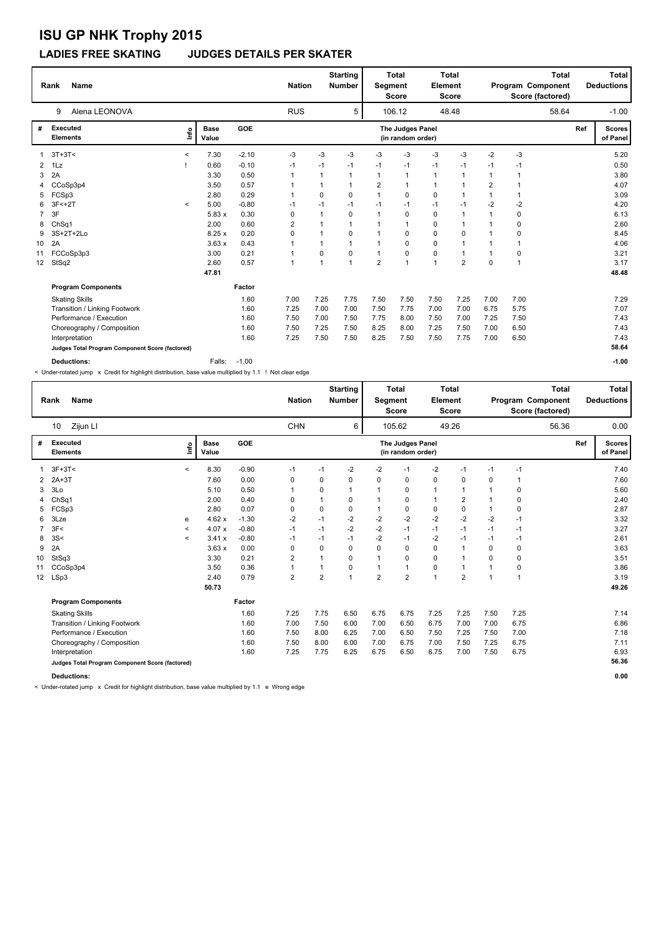### **LADIES FREE SKATING JUDGES DETAILS PER SKATER**

|                | <b>Name</b><br>Rank                             |         |                      |            | <b>Nation</b> |              | <b>Starting</b><br><b>Number</b> | Segment        | <b>Total</b><br><b>Score</b>          | Element        | <b>Total</b><br><b>Score</b> |                |      | <b>Total</b><br>Program Component<br>Score (factored) |     | <b>Total</b><br><b>Deductions</b> |
|----------------|-------------------------------------------------|---------|----------------------|------------|---------------|--------------|----------------------------------|----------------|---------------------------------------|----------------|------------------------------|----------------|------|-------------------------------------------------------|-----|-----------------------------------|
|                | Alena LEONOVA<br>9                              |         |                      |            | <b>RUS</b>    |              | 5                                |                | 106.12                                |                | 48.48                        |                |      | 58.64                                                 |     | $-1.00$                           |
| #              | <b>Executed</b><br><b>Elements</b>              | ١nf٥    | <b>Base</b><br>Value | <b>GOE</b> |               |              |                                  |                | The Judges Panel<br>(in random order) |                |                              |                |      |                                                       | Ref | <b>Scores</b><br>of Panel         |
|                | $3T+3T<$                                        | $\,<$   | 7.30                 | $-2.10$    | $-3$          | $-3$         | $-3$                             | -3             | $-3$                                  | $-3$           | $-3$                         | $-2$           | $-3$ |                                                       |     | 5.20                              |
| $\mathbf{2}$   | 1Lz                                             |         | 0.60                 | $-0.10$    | -1            | $-1$         | $-1$                             | $-1$           | $-1$                                  | $-1$           | $-1$                         | $-1$           | $-1$ |                                                       |     | 0.50                              |
| 3              | 2A                                              |         | 3.30                 | 0.50       | $\mathbf 1$   | 1            | $\mathbf 1$                      | $\mathbf 1$    | $\mathbf{1}$                          | 1              | $\mathbf 1$                  | $\mathbf{1}$   | 1    |                                                       |     | 3.80                              |
| 4              | CCoSp3p4                                        |         | 3.50                 | 0.57       | 1             | 1            | $\overline{1}$                   | $\overline{2}$ | $\overline{1}$                        | $\mathbf{1}$   | 1                            | $\overline{2}$ | 1    |                                                       |     | 4.07                              |
| 5              | FCSp3                                           |         | 2.80                 | 0.29       | 1             | 0            | $\Omega$                         | $\overline{1}$ | 0                                     | 0              | 1                            | $\mathbf{1}$   | 1    |                                                       |     | 3.09                              |
| 6              | $3F<+2T$                                        | $\,<\,$ | 5.00                 | $-0.80$    | $-1$          | $-1$         | $-1$                             | $-1$           | $-1$                                  | $-1$           | $-1$                         | $-2$           | $-2$ |                                                       |     | 4.20                              |
| $\overline{7}$ | 3F                                              |         | 5.83x                | 0.30       | 0             | 1            | $\Omega$                         | -1             | $\Omega$                              | 0              | 1                            | 1              | 0    |                                                       |     | 6.13                              |
| 8              | Ch <sub>Sq1</sub>                               |         | 2.00                 | 0.60       | 2             | $\mathbf{1}$ |                                  |                | -1                                    | 0              | 1                            | 1              | 0    |                                                       |     | 2.60                              |
| 9              | 3S+2T+2Lo                                       |         | 8.25x                | 0.20       | 0             | $\mathbf{1}$ | $\mathbf 0$                      |                | 0                                     | 0              | 0                            |                | 0    |                                                       |     | 8.45                              |
| 10             | 2A                                              |         | 3.63x                | 0.43       |               | 1            |                                  |                | $\Omega$                              | 0              |                              |                | 1    |                                                       |     | 4.06                              |
| 11             | FCCoSp3p3                                       |         | 3.00                 | 0.21       |               | 0            | $\mathbf 0$                      |                | 0                                     | 0              |                              |                | 0    |                                                       |     | 3.21                              |
| 12             | StSq2                                           |         | 2.60                 | 0.57       | $\mathbf{1}$  | 1            | $\overline{1}$                   | $\overline{2}$ | 1                                     | $\overline{1}$ | $\overline{2}$               | $\Omega$       | 1    |                                                       |     | 3.17                              |
|                |                                                 |         | 47.81                |            |               |              |                                  |                |                                       |                |                              |                |      |                                                       |     | 48.48                             |
|                | <b>Program Components</b>                       |         |                      | Factor     |               |              |                                  |                |                                       |                |                              |                |      |                                                       |     |                                   |
|                | <b>Skating Skills</b>                           |         |                      | 1.60       | 7.00          | 7.25         | 7.75                             | 7.50           | 7.50                                  | 7.50           | 7.25                         | 7.00           | 7.00 |                                                       |     | 7.29                              |
|                | Transition / Linking Footwork                   |         |                      | 1.60       | 7.25          | 7.00         | 7.00                             | 7.50           | 7.75                                  | 7.00           | 7.00                         | 6.75           | 5.75 |                                                       |     | 7.07                              |
|                | Performance / Execution                         |         |                      | 1.60       | 7.50          | 7.00         | 7.50                             | 7.75           | 8.00                                  | 7.50           | 7.00                         | 7.25           | 7.50 |                                                       |     | 7.43                              |
|                | Choreography / Composition                      |         |                      | 1.60       | 7.50          | 7.25         | 7.50                             | 8.25           | 8.00                                  | 7.25           | 7.50                         | 7.00           | 6.50 |                                                       |     | 7.43                              |
|                | Interpretation                                  |         |                      | 1.60       | 7.25          | 7.50         | 7.50                             | 8.25           | 7.50                                  | 7.50           | 7.75                         | 7.00           | 6.50 |                                                       |     | 7.43                              |
|                | Judges Total Program Component Score (factored) |         |                      |            |               |              |                                  |                |                                       |                |                              |                |      |                                                       |     | 58.64                             |
|                | <b>Deductions:</b>                              |         | Falls:               | $-1.00$    |               |              |                                  |                |                                       |                |                              |                |      |                                                       |     | $-1.00$                           |

< Under-rotated jump x Credit for highlight distribution, base value multiplied by 1.1 ! Not clear edge

|    | <b>Name</b><br>Rank                             |              |                      |            | <b>Nation</b>  |                | <b>Starting</b><br><b>Number</b> | Segment        | Total<br><b>Score</b>                 | Element      | Total<br><b>Score</b> |                | Program Component<br>Score (factored) | <b>Total</b> |     | Total<br><b>Deductions</b> |
|----|-------------------------------------------------|--------------|----------------------|------------|----------------|----------------|----------------------------------|----------------|---------------------------------------|--------------|-----------------------|----------------|---------------------------------------|--------------|-----|----------------------------|
|    | Zijun LI<br>10                                  |              |                      |            | <b>CHN</b>     |                | 6                                |                | 105.62                                |              | 49.26                 |                |                                       | 56.36        |     | 0.00                       |
| #  | Executed<br><b>Elements</b>                     | lnfo         | <b>Base</b><br>Value | <b>GOE</b> |                |                |                                  |                | The Judges Panel<br>(in random order) |              |                       |                |                                       |              | Ref | <b>Scores</b><br>of Panel  |
|    | $3F+3T<$                                        | $\prec$      | 8.30                 | $-0.90$    | -1             | $-1$           | $-2$                             | $-2$           | $-1$                                  | $-2$         | $-1$                  | $-1$           | $-1$                                  |              |     | 7.40                       |
| 2  | $2A+3T$                                         |              | 7.60                 | 0.00       | $\mathbf 0$    | 0              | 0                                | 0              | 0                                     | $\mathbf 0$  | 0                     | 0              | $\mathbf 1$                           |              |     | 7.60                       |
| 3  | 3 <sub>LO</sub>                                 |              | 5.10                 | 0.50       | $\mathbf 1$    | 0              |                                  | 1              | 0                                     | $\mathbf{1}$ | 1                     | $\mathbf 1$    | 0                                     |              |     | 5.60                       |
| 4  | ChSq1                                           |              | 2.00                 | 0.40       | $\mathbf 0$    | 1              | 0                                | 1              | 0                                     | $\mathbf{1}$ | 2                     |                | 0                                     |              |     | 2.40                       |
| 5  | FCSp3                                           |              | 2.80                 | 0.07       | $\mathbf 0$    | 0              | 0                                | 1              | 0                                     | 0            | $\mathbf 0$           | 1              | 0                                     |              |     | 2.87                       |
| 6  | 3Lze                                            | e            | 4.62x                | $-1.30$    | $-2$           | $-1$           | $-2$                             | $-2$           | $-2$                                  | $-2$         | $-2$                  | $-2$           | -1                                    |              |     | 3.32                       |
| 7  | 3F<                                             | $\checkmark$ | 4.07 x               | $-0.80$    | $-1$           | $-1$           | $-2$                             | $-2$           | $-1$                                  | $-1$         | $-1$                  | $-1$           | $-1$                                  |              |     | 3.27                       |
| 8  | 3S<                                             | $\checkmark$ | 3.41x                | $-0.80$    | $-1$           | $-1$           | $-1$                             | $-2$           | $-1$                                  | $-2$         | $-1$                  | $-1$           | -1                                    |              |     | 2.61                       |
| 9  | 2A                                              |              | 3.63x                | 0.00       | $\mathbf 0$    | 0              | 0                                | 0              | 0                                     | $\mathbf 0$  | $\mathbf{1}$          | 0              | 0                                     |              |     | 3.63                       |
| 10 | StSq3                                           |              | 3.30                 | 0.21       | $\overline{2}$ | 1              | 0                                | $\mathbf{1}$   | 0                                     | 0            | $\overline{1}$        | 0              | 0                                     |              |     | 3.51                       |
| 11 | CCoSp3p4                                        |              | 3.50                 | 0.36       | $\mathbf{1}$   | 1              | 0                                | 1              | $\mathbf{1}$                          | 0            | $\mathbf{1}$          | 1              | 0                                     |              |     | 3.86                       |
| 12 | LSp3                                            |              | 2.40                 | 0.79       | $\overline{2}$ | $\overline{2}$ | 1                                | $\overline{2}$ | $\overline{2}$                        | $\mathbf{1}$ | $\overline{2}$        | $\overline{1}$ | $\mathbf{1}$                          |              |     | 3.19                       |
|    |                                                 |              | 50.73                |            |                |                |                                  |                |                                       |              |                       |                |                                       |              |     | 49.26                      |
|    | <b>Program Components</b>                       |              |                      | Factor     |                |                |                                  |                |                                       |              |                       |                |                                       |              |     |                            |
|    | <b>Skating Skills</b>                           |              |                      | 1.60       | 7.25           | 7.75           | 6.50                             | 6.75           | 6.75                                  | 7.25         | 7.25                  | 7.50           | 7.25                                  |              |     | 7.14                       |
|    | Transition / Linking Footwork                   |              |                      | 1.60       | 7.00           | 7.50           | 6.00                             | 7.00           | 6.50                                  | 6.75         | 7.00                  | 7.00           | 6.75                                  |              |     | 6.86                       |
|    | Performance / Execution                         |              |                      | 1.60       | 7.50           | 8.00           | 6.25                             | 7.00           | 6.50                                  | 7.50         | 7.25                  | 7.50           | 7.00                                  |              |     | 7.18                       |
|    | Choreography / Composition                      |              |                      | 1.60       | 7.50           | 8.00           | 6.00                             | 7.00           | 6.75                                  | 7.00         | 7.50                  | 7.25           | 6.75                                  |              |     | 7.11                       |
|    | Interpretation                                  |              |                      | 1.60       | 7.25           | 7.75           | 6.25                             | 6.75           | 6.50                                  | 6.75         | 7.00                  | 7.50           | 6.75                                  |              |     | 6.93                       |
|    | Judges Total Program Component Score (factored) |              |                      |            |                |                |                                  |                |                                       |              |                       |                |                                       |              |     | 56.36                      |
|    | <b>Deductions:</b>                              |              |                      |            |                |                |                                  |                |                                       |              |                       |                |                                       |              |     | 0.00                       |

< Under-rotated jump x Credit for highlight distribution, base value multiplied by 1.1 e Wrong edge